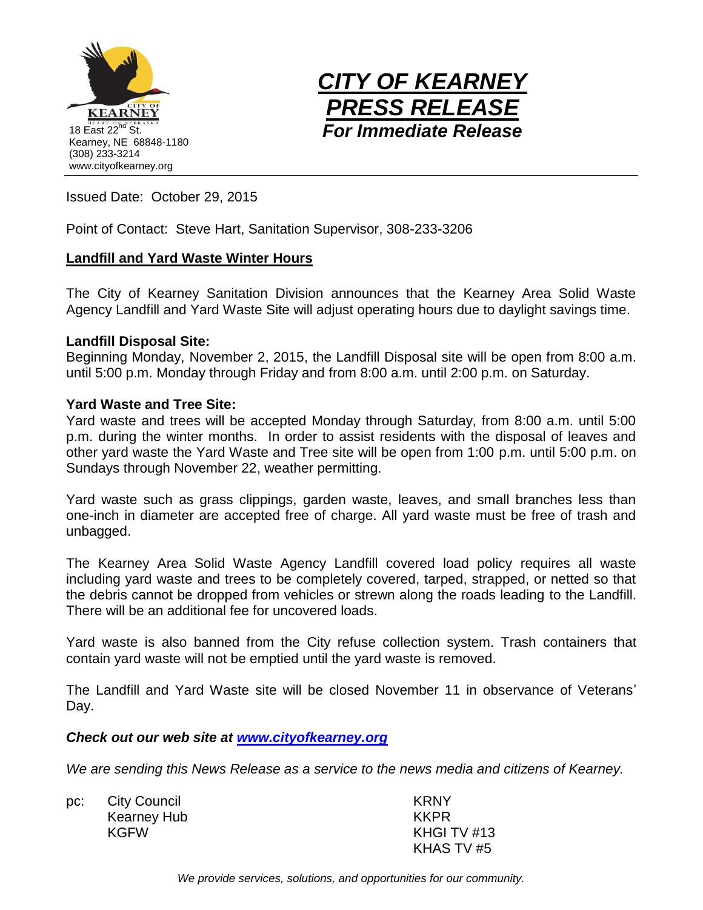



Issued Date: October 29, 2015

Point of Contact: Steve Hart, Sanitation Supervisor, 308-233-3206

## **Landfill and Yard Waste Winter Hours**

The City of Kearney Sanitation Division announces that the Kearney Area Solid Waste Agency Landfill and Yard Waste Site will adjust operating hours due to daylight savings time.

## **Landfill Disposal Site:**

Beginning Monday, November 2, 2015, the Landfill Disposal site will be open from 8:00 a.m. until 5:00 p.m. Monday through Friday and from 8:00 a.m. until 2:00 p.m. on Saturday.

## **Yard Waste and Tree Site:**

Yard waste and trees will be accepted Monday through Saturday, from 8:00 a.m. until 5:00 p.m. during the winter months. In order to assist residents with the disposal of leaves and other yard waste the Yard Waste and Tree site will be open from 1:00 p.m. until 5:00 p.m. on Sundays through November 22, weather permitting.

Yard waste such as grass clippings, garden waste, leaves, and small branches less than one-inch in diameter are accepted free of charge. All yard waste must be free of trash and unbagged.

The Kearney Area Solid Waste Agency Landfill covered load policy requires all waste including yard waste and trees to be completely covered, tarped, strapped, or netted so that the debris cannot be dropped from vehicles or strewn along the roads leading to the Landfill. There will be an additional fee for uncovered loads.

Yard waste is also banned from the City refuse collection system. Trash containers that contain yard waste will not be emptied until the yard waste is removed.

The Landfill and Yard Waste site will be closed November 11 in observance of Veterans' Day.

## *Check out our web site at [www.cityofkearney.org](http://www.cityofkearney.org/)*

*We are sending this News Release as a service to the news media and citizens of Kearney.*

pc: City Council Kearney Hub KGFW

KRNY KKPR KHGI TV #13 KHAS TV #5

*We provide services, solutions, and opportunities for our community.*